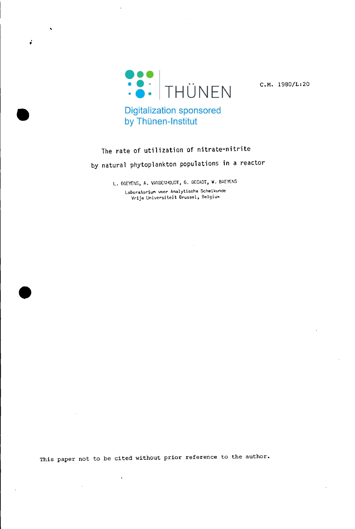

**•** 

ć

C.M. 1980/L:20

# The rate of utilization of nitrate-nitrite by natural phytoplankton populations in a reactor

L. GOEYENS, A. VANDENHOUDT, G. DECADT, W. BAEYENS

**LaboratoriuM voor Analytische Scheikunde Vrije Universi tei t Brussel, Belgium**

This paper not to be cited without prior reference to the author.

 $\overline{a}$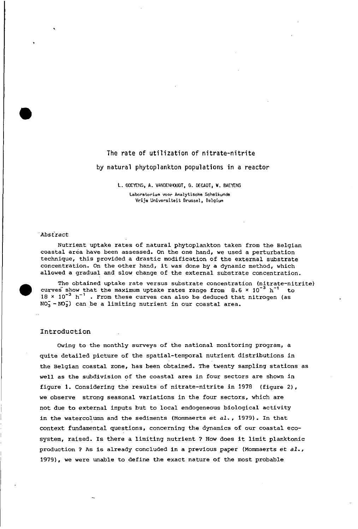# The rate of utilization of nitrate-nitrite by natural phytoplankton populations in a reactor

L. GOEYENS, A. VANDENHOUDT, G. DECADT, W. BAEYENS

**Laboratorium voar Analytische Scheikunde**  $Vrije$  Universiteit Brussel, Belgium

## .<br>Abstract

•

•

Nutrient uptake rates of natural phytoplankton taken from the Belgian coastal area have been assessed. On the one hand, we used a perturbation technique, this provided a drastic modification of the external substrate concentration. On the other hand, it was done by a dynamic method, which allowed a gradual and slow change of the external substrate concentration.

The obtained uptake rate versus substrate concentration (nitrate-nitrite) curves show that the maximum uptake rates range from  $8.6 \times 10^{-3}$  h<sup>-1</sup> to  $18 \times 10^{-3}$  h<sup>-1</sup>. From these curves can also be deduced that nitrogen (as  $NO<sub>3</sub> - NO<sub>2</sub>$ ) can be a limiting nutrient in our coastal area.

### Introduction

OWing to the monthly surveys of the national monitoring program, a quite detailed picture of the spatial-temporal nutrient distributions in the Belgian coastal zone, has been obtained. The twenty sampling stations as weIl as the subdivision of the coastal area in four sectors are shown in figure 1. Considering the results of nitrate-nitrite in 1978 (figure 2), we observe strong seasonal variations in the four sectors, which are not due to external inputs but to local endogeneous biological activity in the watercolumn and the sediments (Mommaerts *et al.,* 1979). In that context fundamental questions, concerning the dynamics of our coastal ecosystem, raised. Is there <sup>a</sup> limiting nutrient ? How does it limit planktonic production ? As is already concluded in <sup>a</sup> previous paper (Mommaerts *et al.,* 1979), we were unable to define the exact nature of the most probable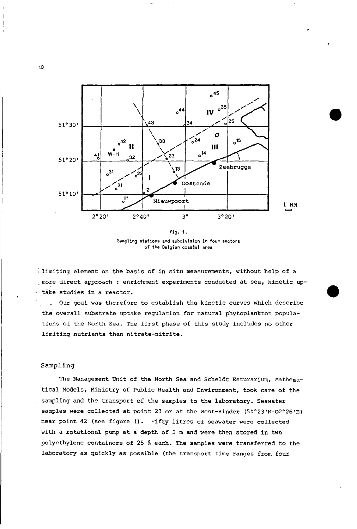

fig. 1. Sampling stations and subdivision in four sectors **of the Belgien coastal ares**

limiting element on the basis of in situ measurements, without help of a more direct approach : enrichment experiments conducted at sea, kinetic uptäke studies in a reactor.

Our goal was therefore to establish the kinetic curves which describe  $\sim 10^{-10}$ the overall substrate uptake regulation for natural phytoplankton populations of the North Sea. The first phase of this study includes no other limiting nutrients than nitrate-nitrite.

# Sampling

The Management Unit of the North Sea and Scheldt Esturarium, Mathematical Models, Ministry of Public Health and Environment, took care of the sampling and the transport of the sampies to the laboratory. Seawater sampies were collected at point 23 or at the West-Hinder (51°23'N-02°26'E) near point <sup>42</sup> (see figure 1). Fifty litres of seawater were collected with a rotational pump at a depth of 3 m and were then stored in two polyethylene containers of 25 *l* each. The samples were transferred to the laboratory as quickly as possible (the transport time ranges from four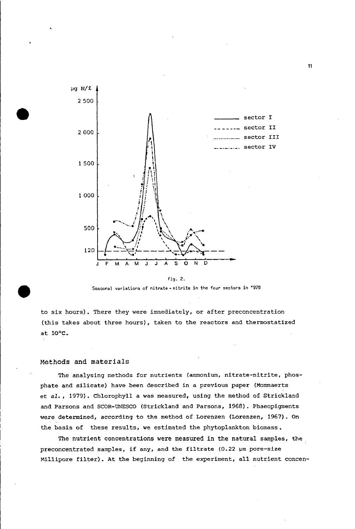



to six hours). There they were immediately, or after preconcentration (this takes about three hours), taken to the reactors and thermostatized at *la'c.*

# Methads and materials

The analysing methods for nutrients (ammonium, nitrate-nitrite, phosphate and silicate) have been described in a previous paper (Mommaerts et *al.,* 1979). Chlorophyll <sup>a</sup> was measured, using the method of Strickland and Parsons and SCOR-UNESCO (Strickland and Parsons, 1968), Phaeopigments were determined, according to the method of Lorenzen (Lorenzen, 1967). *an* the basis of these results, we estimated the phytoplankton biomass.

The nutrient concentrations were measured in the natural samples, the preconcentrated samples, if any, and the filtrate  $(0.22 \text{ }\mu\text{m}$  pore-size Millipore filter). At the beginning of the experiment, all nutrient concen-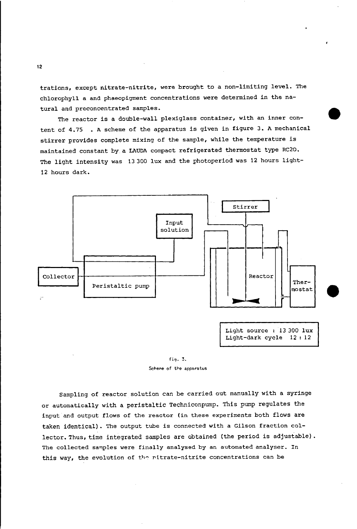trations, except nitrate-nitrite, were brought to a non-limiting level. The chlorophyll a and phaeopigment concentrations were determined in the natural and preconcentrated samples.

The reactor is a double-wall plexiglass container, with an inner content of 4.75 • A scheme of the apparatus is given in figure 3. A mechanical stirrer provides complete mixing of the sample, while the temperature is maintained constant by a LAUDA compact refrigerated thermostat type RC20. The light intensity was 13300 lux and the photoperiod was 12 hours light-12 hours dark.

**•** 



fig. 3. Scheme of the apparatus

Sampling of reactor solution can be carried out manually with a syringe or automatically with a peristaltic Techniconpump. This pump regulates the input and output flows of the reactor (in these experiments both flows are taken identical). The output tube is connected with a Gilson fraction collector. Thus, time integrated samples are obtained (the period is adjustable). The collected samples were finally analysed by an automated analyser. In this way, the evolution of the nitrate-nitrite concentrations can be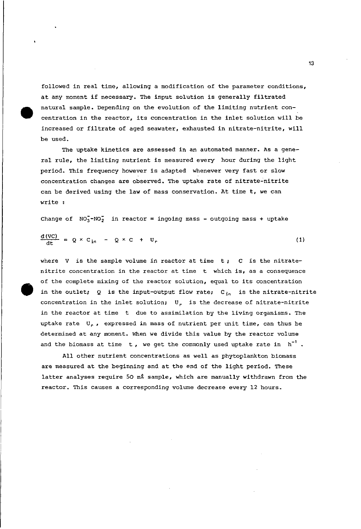followed in real time, allowing a modification of the parameter conditions, at any moment if necessary. The input solution is generally filtrated natural sampie. Depending on the evolution of the limiting nutrient concentration in the reactor, its concentration in the inlet solution will be increased or filtrate of aged seawater, exhausted in nitrate-nitrite, will be used.

**•** 

The uptake kinetics are assessed in an automated manner. As a general rule, the limiting nutrient is measured every hour during the light period. This frequency however is adapted whenever very fast or slow concentration changes are observed. The uptake rate of nitrate-nitrite can be derived using the law of mass conservation. At time t, we can write :

Change of  $NO<sub>3</sub>$ -NO<sub>2</sub> in reactor = ingoing mass - outgoing mass + uptake

$$
\frac{d\left(\text{VC}\right)}{dt} = Q \times C_{in} - Q \times C + U_{r} \tag{1}
$$

where V is the sample volume in reactor at time  $t$ ; C is the nitratenitrite concentration in the reactor at time <sup>t</sup> which is, as <sup>a</sup> consequence of the complete mixing of the reactor solution, equal to its concentration in the outlet; Q is the input-output flow rate;  $C_{in}$  is the nitrate-nitrite concentration in the inlet solution;  $U_r$  is the decrease of nitrate-nitrite in the reactor at time t due to assimilation by the Iiving organisms. The uptake rate  $U_r$ , expressed in mass of nutrient per unit time, can thus be determined at any moment. When we divide this value by the reactor volume and the biomass at time t, we get the commonly used uptake rate in  $h^{-1}$ .

All other nutrient concentrations as well as phytoplankton biomass are measured at the beginning and at the end of the light period. These latter analyses require 50 m% sample, which are manually withdrawn from the reactor. This causes a corresponding volume decrease every 12 hours.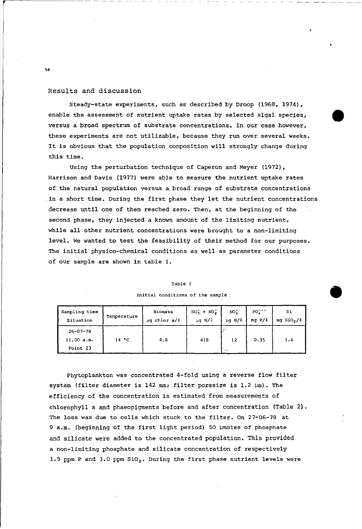# Results and discussion

Steady-state experiments, such as described by Droop (1968, 1974), enable the assessment of nutrient uptake rates by selected algal species, versus a broad spectrum of substrate concentrations. In our case however, these experiments are not utilizable, because they run over several weeks. It is obvious that the population composition will strongly change during this time.

Using the perturbation technique of Caperon and Meyer (1972), Harrison and Davis (1977) were able to measure the nutrient uptake rates of the natural population versus a broad range of substrate concentrations \_in <sup>a</sup> short time. During the first phase they let the nutrient concentrations decrease unti1 one of them reached zero. Then, at the beginning of the second phase, they injected a known amount of the 1imiting nutrient, while all other nutrient concentrations were brought to a non-limiting level. We wanted to test the feasibi1ity of their method for our purposes. The initial physico-chemica1 conditions as we11-as parameter conditions of our sample are shown in table **1.**

#### Table 1

| Sampling time                            | Temperature | Biomass             | $NO_1 + NO_2$ | NO.        | PO <sub>2</sub> -- | Si                     |
|------------------------------------------|-------------|---------------------|---------------|------------|--------------------|------------------------|
| Situation                                |             | $\mu q$ chlor $a/k$ | $\mu$ g N/2   | ug N/L     | $mq$ $P/l$         | mg SiO <sub>2</sub> /L |
| $26 - 07 - 78$<br>11.00 a.m.<br>Point 23 | 14 °C       | 4.8                 | 418           | وجوا<br>12 | 0.35               | 1.6                    |

**Initial conditions cf the sampIe .**

Phytoplankton was concentrated 4-fold using a reverse flow filter system (filter diameter is 142 mm; filter poresize is  $1.2 ~\mu$ m). The efficiency of the concentration is estimated from measurements of chlorophyll a and phaeopigments be fore and after concentration (Table 2). The loss was due to eells whieh stuck to the filter. On 27-06-78 at 9 a.m. (beginning of the first light period) 50 µmoles of phosphate and silicate were added to the concentrated population. This provided a non-limiting phosphate and silicate concentration of respeetively 1.9 ppm P and 3.0 ppm  $SiO<sub>2</sub>$ , During the first phase nutrient levels were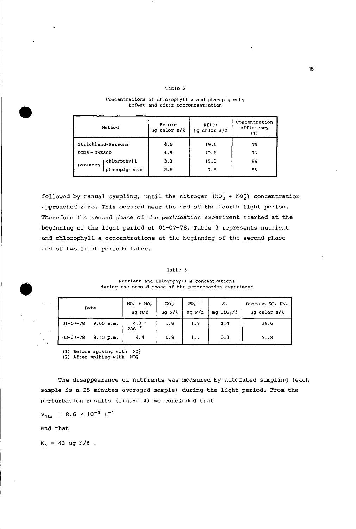|                 | Method             | Before<br>$\mu q$ chlor $a/l$ | After<br>$\mu q$ chlor $a/l$ | Concentration<br>efficiency<br>$\left(3\right)$ |  |
|-----------------|--------------------|-------------------------------|------------------------------|-------------------------------------------------|--|
|                 | Strickland-Parsons | 4.9                           | 19.6                         | 75                                              |  |
| $SCOR - UNESCO$ |                    | 4.8                           | 19.1                         | 75                                              |  |
| Lorenzen        | chlorophyll        | 3.3                           | 15.0                         | 86                                              |  |
|                 | phaeopigments      | 2.6                           | 7.6                          | 55                                              |  |

# Table 2 **Concentrations cf chlorophyll a and phaeopigments** be fore **and after preconcentration**

followed by manual sampling, until the nitrogen  $(NO_3^+ + NO_2^-)$  concentration approached zero. This occured near the end of the fourth light period. Therefore the second phase of the pertubation experiment started at the beginning of the light period of 01-07-78. Table <sup>3</sup> represents nutrient and chlorophyll <sup>a</sup> concentrations at the beginning of the second phase and of two light periods later.

### **Table 3**

**Nutrient and chlorophyll a concentrations during the second phase cf the perturbation experiment**

| Date           |           | $NO_2^- + NO_2^-$<br>$\mu q$ N/ $\ell$ | NO <sub>2</sub><br>$\mu q N/R$ | $PO4$ <sup>--</sup><br>mg $P/l$ | Si<br>$mq$ SiO <sub>2</sub> /2 | Biomass SC. UN.<br>$\mu q$ chlor $a/l$ |  |
|----------------|-----------|----------------------------------------|--------------------------------|---------------------------------|--------------------------------|----------------------------------------|--|
| $01 - 07 - 78$ | 9.00 a.m. | $4.0-1$<br>286                         | 1.8                            | 1.7                             | 1.4                            | 36.6                                   |  |
| $02 - 07 - 78$ | 8.40 p.m. | 4.4                                    | 0.9                            | 1.7                             | 0.3                            | 51.8                                   |  |

**(1) Before spiking with N03**

(2) After spiking with NO;

The disappearance of nutrients was measured by automated sampling (each sample is <sup>a</sup> <sup>25</sup> minutes averaged sample) during the light period. From the perturbation results (figure 4) we concluded that

 $V_{max}$  = 8.6 × 10<sup>-3</sup> h<sup>-1</sup>

and that

•

 $K_s = 43 \mu g N/l$ .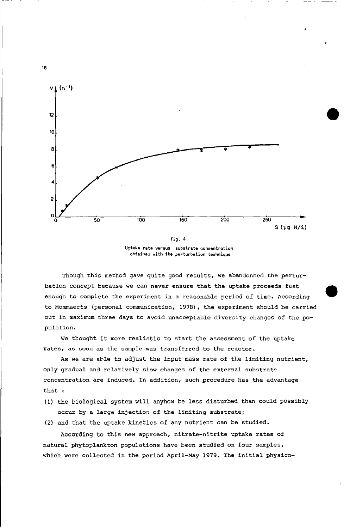

**Uptake rate versus substrate concentration obtained with the perturbation technique**

Though this method gave quite good results, we abandonned the perturbation concept because we can never ensure that the uptake proceeds fast enough to complete the experiment in a reasonable period of time. According to Mommaerts (personal communication, 1978), the experiment should be carried out in maximum three days to avoid unacceptable diversity changes of the population.

We thought it more realistic to start the assessment of the uptake rates, as soon as the sample was transferred to the reactor.

As we are able to adjust the input mass rate of the limiting nutrient, only gradual and relatively slow changes of the external substrate concentration are induced. In addition, such procedure has the advantage that :

- (1) the biological system will anyhow be less disturbed than could possibly occur by a large injection of the limiting substrate;
- (2) and that the uptake kinetics of any nutrient can be studied.

According to this new approach, nitrate-nitrite uptake rates of natural phytoplankton populations have been studied on four samples, which were collected in the period April-May 1979. The initial physico-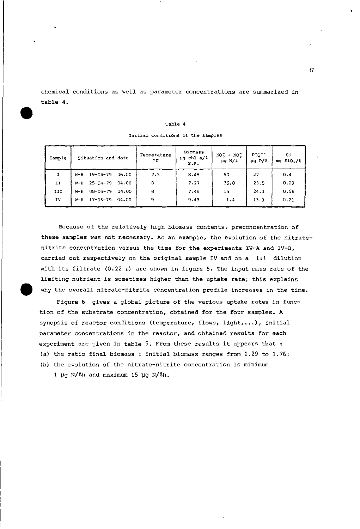chemical conditions as weIl as parameter concentrations are summarized in table 4.

## Table 4

| Sample | Situation and date               | Temperature<br>$^{\circ}$ c | <b>Biomass</b><br>$\mu q$ chl $a/l$<br>S.P. | $NO_3^- + NO_2^-$<br>$\mu$ g N/ $\ell$ | $PQ_{A}^{T}$<br>$\mu q$ P/ $\ell$ | Si<br>mg SiO <sub>2</sub> /l |  |
|--------|----------------------------------|-----------------------------|---------------------------------------------|----------------------------------------|-----------------------------------|------------------------------|--|
|        | $19 - 04 - 79$<br>06.00<br>W-H   | 7.5                         | 8.48                                        | 50                                     | 27                                | 0.4                          |  |
| IJ     | $25 - 04 - 79$<br>04.00<br>$W-H$ | 8                           | 7.27                                        | 35.8                                   | 23.5                              | 0.29                         |  |
| III    | $08 - 05 - 79$<br>04.00<br>м-н   | 8                           | 7.48                                        | 15                                     | 24.3                              | 0.56                         |  |
| IV     | $17 - 05 - 79$<br>04.00<br>$W-H$ | 9                           | 9.48                                        | 1.4                                    | 13.3                              | 0.21                         |  |

**Initial conditions of the samples**

Because of the relatively high biomass contents, preconcentration of these sampIes was not necessary. As an example, the evolution of the nitratenitrite concentration versus the time for the experiments IV-A and IV-B, carried out respectively on the original sample IV and on a 1:1 dilution with its filtrate (0.22  $\mu$ ) are shown in figure 5. The input mass rate of the limiting nutrient is sometimes higher than the uptake rate; this explains why the overall nitrate-nitrite concentration profile increases in the time.

Figure 6 gives aglobaI picture of the various uptake rates in function of the substrate concentration, obtained for the four samples. A synopsis of reactor conditions (temperature, flows, light,...), initial parameter concentrations in the reactor, and obtained results for each experiment are given in table 5. From these results it appears that : (a) the ratio final biomass : initial biomass ranges from 1.29 to 1.76; (b) the evolution of the nitrate-nitrite concentration is minimum

1  $\mu$ g N/ $\ell$ h and maximum 15  $\mu$ g N/ $\ell$ h.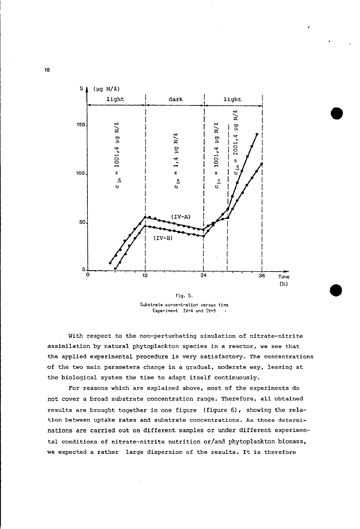

fig. 5. Substrate concentration versus time Experiment IV-A and IV-B

With respect to the non-perturbating simulation of nitrate-nitrite assimilation by natural phytoplankton species in a reactor, we see that the applied experimental procedure is very satisfactory. The concentrations of the two main parameters change in a gradual, moderate way, leaving at the biological system the time to adapt itself continuously.

For reasons which are explained above, most of the experiments do not cover a broad substrate concentration range. Therefore, all obtained results are brought together in one figure (figure 6), showing the relation between uptake rates and substrate concentrations. As those determinations are carried out on different samples or under different experimental conditions of nitrate-nitrite nutrition or/and phytoplankton biomass, we expected a rather large dispersion of the results. It is therefore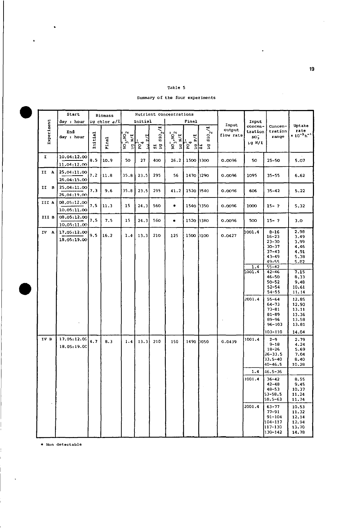# Table 5

Summary of the four experiments

|            | Start                      |         | <b>Biomass</b>    | Nutrient concentrations                               |                  |                           |                                            |                                                            |                   |                              |                                          |                                                                                                                                                                                                                                               |                                                                                                                                                         |
|------------|----------------------------|---------|-------------------|-------------------------------------------------------|------------------|---------------------------|--------------------------------------------|------------------------------------------------------------|-------------------|------------------------------|------------------------------------------|-----------------------------------------------------------------------------------------------------------------------------------------------------------------------------------------------------------------------------------------------|---------------------------------------------------------------------------------------------------------------------------------------------------------|
|            | day : hour                 |         | $\mu$ g chlor a/l |                                                       | Initial          |                           |                                            | Final                                                      |                   |                              | Input                                    |                                                                                                                                                                                                                                               |                                                                                                                                                         |
| Experiment | End<br>day : hour          | Initial | Pinal             | $\kappa_{\rm ON}$ , $\kappa_{\rm ON}$<br>N/2<br>$\Xi$ | $P_{\mathbf{q}}$ | ೆ<br>$\frac{1}{2}$<br>ដ ដ | $\overline{M_3}$ , $\overline{M_2}$<br>N/2 | ್<br>p.<br>$\frac{1}{2} \int_{0}^{2} \delta_{\alpha}$<br>읽 | $510^{2/2}$<br>Σq | Input<br>output<br>flow rate | concen-<br>tration<br>$NO_3^-$<br>ւց N/L | Concen-<br>tration<br>range                                                                                                                                                                                                                   | Uptake<br>rate<br>$\times 10^{-3} h^{-1}$                                                                                                               |
| I          | 10,04:12.00<br>11.04:12.00 | 8.5     | 10.9              | 50                                                    | 27               | 400                       | 26.2                                       | 1500                                                       | 3300              | 0.0096                       | 50                                       | $25 - 50$                                                                                                                                                                                                                                     | 5.07                                                                                                                                                    |
| II A       | 25.04:11.00<br>26.04:15.00 | 7.2     | 11.8              | 35.8                                                  | 23.5             | 295                       | 56                                         | 1470                                                       | 3290              | 0.0096                       | 1095                                     | $35 - 55$                                                                                                                                                                                                                                     | 6.62                                                                                                                                                    |
| II B       | 25,04:11.00<br>26,04:19.00 | 7.3     | 9.6               | 35.8                                                  | 23.5             | 295                       | 41.2                                       | 1520                                                       | 3540              | 0.0096                       | 606                                      | $35 - 42$                                                                                                                                                                                                                                     | 5.22                                                                                                                                                    |
| III A      | 08,05:12,00<br>10.05:11.00 | 7.5     | 11.3              | 15                                                    | 24.3             | 560                       | ۰                                          | 1540                                                       | 3350              | 0.0096                       | 1000                                     | $15 - 7$                                                                                                                                                                                                                                      | 5.32                                                                                                                                                    |
| III B      | 08,05:12.00<br>10.05:11.00 | 7.5     | 7.5               | 15                                                    | 24.3             | 560                       | $\ddot{\phantom{1}}$                       | 1520                                                       | 3380              | 0.0096                       | 500                                      | $15 - ?$                                                                                                                                                                                                                                      | 3.0                                                                                                                                                     |
| IV A       | 17.05:12.00<br>18,05:19.00 | 9.5     | 16.2              | 1.4                                                   | 13.3             | 210                       | 125                                        | 1500                                                       | 3100              | 0.0427                       | 1001.4<br>1.4<br>1001.4<br>2001.4        | $8 - 16$<br>$16 - 23$<br>$23 - 30$<br>$30 - 37$<br>$37 - 43$<br>43-49<br>$49 - 55$<br>$55 - 42$<br>42-46<br>46-50<br>$50 - 52$<br>$52 - 54$<br>$54 - 55$<br>$55 - 64$<br>$64 - 73$<br>$73 - 81$<br>$81 - 89$<br>$89 - 96$<br>$96 - 103$       | 2.98<br>3.49<br>3.99<br>4,46<br>4.91<br>5.38<br>5.82<br>7.15<br>8.33<br>9.48<br>10.61<br>11.14<br>12,85<br>12.90<br>13.11<br>13.36<br>13.58<br>13.81    |
| IV B       | 17.05:12.00<br>18.05:19.00 | 4.7     | 8.3               | 1.4                                                   | 13.3             | 210                       | 150                                        | 1490                                                       | 3050              | 0.0439                       | 1001,4<br>1.4<br>1001.4<br>2001.4        | 103-110<br>$2 - 9$<br>$9 - 18$<br>$18 - 26$<br>$26 - 33.5$<br>33.5-40<br>$40 - 46.5$<br>$46.5 - 36$<br>$36 - 42$<br>$42 - 48$<br>$48 - 53$<br>53-58.5<br>$58.5 - 63$<br>$63 - 77$<br>$77 - 91$<br>$91 - 104$<br>104-117<br>117-130<br>130-142 | 14.04<br>2.79<br>4.24<br>5.69<br>7.04<br>8.40<br>10.28<br>8.55<br>9.45<br>10.37<br>11.24<br>11.74<br>10.53<br>11.32<br>12,14<br>12.94<br>13,70<br>14,78 |

\* Non detectable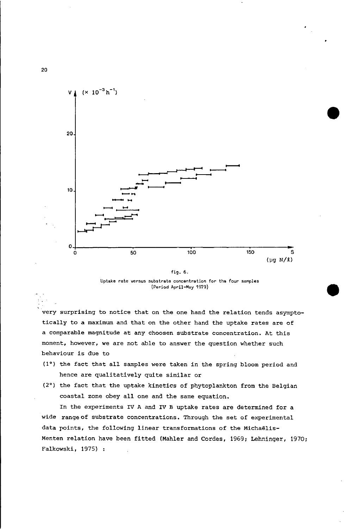

# Uptake rate versus substrate concentration for the four samples (Period April-May 1979)

•

very surprising to notice that on the one hand the relation tends asymptotically to a maximum and that on the other hand the uptake rates are of a comparahle magnitude at any choosen substrate concentration. At this moment, however, we are not ahle to answer the question whether such behaviour is due to

- (1°) the fact that all samples were taken in the spring bloom period and hence are qualitatively quite similar or
- (2°) the fact that the uptake kinetics of phytoplankton from the Belgian coastal zone obey all one and the same equation.

In the experiments IV A and IV B uptake rates are determined for a wide range of substrate concentrations. Through the set of experimental data points, the following linear transformations of the Michaëlis-Menten relation have been fitted (Mahler and Cordes, 1969; Lehninger, 1970; Falkowski, 1975) :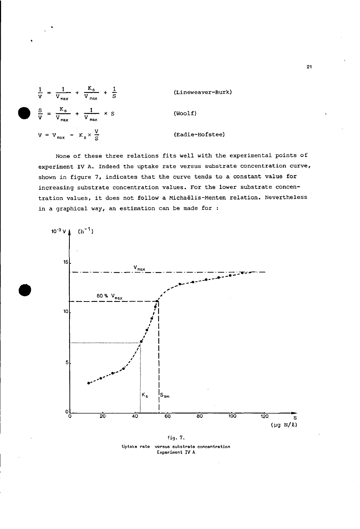$$
\frac{1}{V} = \frac{1}{V_{\text{max}}} + \frac{K_{s}}{V_{\text{max}}} + \frac{1}{S}
$$
 (Lineweaver-Burk)  

$$
\frac{S}{V} = \frac{K_{s}}{V_{\text{max}}} + \frac{1}{V_{\text{max}}} \times S
$$
 (Woolf)  

$$
V = V_{\text{max}} - K_{s} \times \frac{V}{S}
$$
 (Eadie-Hofstee)

None of these three relations fits well with the experimental points of experiment IV A. Indeed the uptake rate versus substrate concentration curve, shown in figure 7, indicates that the curve tends to a constant value for increasing substrate concentration values. For the lower substrate concentration values, it does not follow a Michaëlis-Menten relation. Nevertheless in a graphical way, an estimation can be made for :



fig. 7. Uptake rate versus substrate concentration Experiment IV A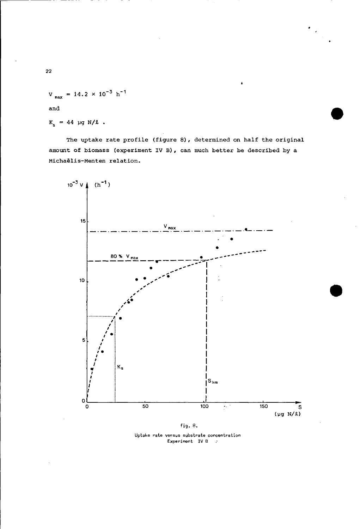= 14.2  $\times$  10<sup>-3</sup> h<sup>-1</sup>  $\mathbf{v}_{\text{max}}$ 

and

$$
K_s = 44 \text{ µg N/L}.
$$

The uptake rate profile (figure 8), determined on half the original amount of biomass (experiment IV B), can much better be described by a Michaëlis-Menten relation.



fig. 8.

Uptake rate versus substrate concentration<br>Experiment IV B :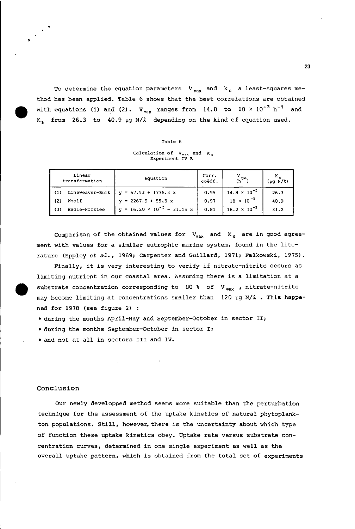To determine the equation parameters  $V_{max}$  and  $K_s$  a least-squares method has been applied. Table 6 shows that the best eorrelations are obtained with equations (1) and (2).  $V_{max}$  ranges from 14.8 to 18 x 10<sup>-3</sup> h<sup>-1</sup> and K<sub>s</sub> from 26.3 to 40.9 µg N/1 depending on the kind of equation used.

| ٠<br>ıb I |  |
|-----------|--|
|-----------|--|

**Calculation of**  $V_{max}$  **and**  $K$ **,<br><b>Experiment IV** B

|                  | Linear<br>transformation | Equation                                  | Corr.<br>coëff. | $\frac{V}{(h^{2})^{2}}$ | $(\mu q N/l)$ |
|------------------|--------------------------|-------------------------------------------|-----------------|-------------------------|---------------|
| $\left(1\right)$ | Lineweaver-Burk          | $y = 67.53 + 1776.3 x$                    | 0.95            | $14.8 \times 10^{-5}$   | 26.3          |
| (2)              | Woolf                    | $y = 2267.9 + 55.5 x$                     | 0.97            | $18 \times 10^{-3}$     | 40.9          |
| (3)              | Eadie-Hofstee            | $y = 16.20 \times 10^{-3} - 31.15 \times$ | 0.81            | $16.2 \times 10^{-3}$   | 31.2          |

Comparison of the obtained values for  $V_{max}$  and  $K_s$  are in good agreement with values for <sup>a</sup> similar eutrophie marine system, found in the literature (Eppley *et al.,* 1969; Carpenter and Guillard, 1971; Falkowski, 1975).

Finally, it is very interesting to verify if nitrate-nitrite occurs as limiting nutrient in our eoastal area. Assuming there is <sup>a</sup> limitation at <sup>a</sup> substrate concentration corresponding to 80 % of V<sub>max</sub>, nitrate-nitrite may become limiting at concentrations smaller than 120 µg N/*2* . This happened for 1978 (see figure 2) :

• during the months April-May and September-Oetober in seetor 11;

• during the months September-Oetober in seetor I;

• and not at all in seetors 111 and IV.

# Conclusion

**•** 

Our newly developped method seems more suitable than the perturbation teehnique for the assessment of the uptake kineties of natural phytoplankton populations. Still, however, there is the uncertainty about which type of funetion these uptake kineties obey. Uptake rate versus substrate eoneentration eurves, determined in one single experiment as well as the overall uptake pattern, whieh is obtained from the total set of experiments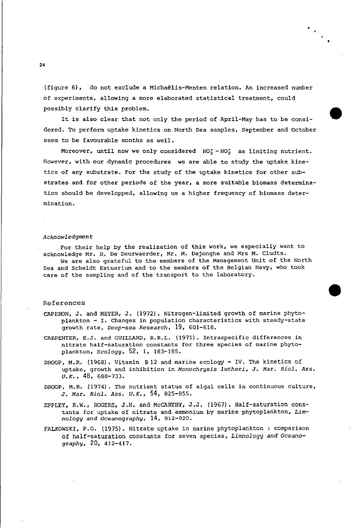(figure 6), do not exclude a Michaelis-Menten relation. An increased nurnber of experiments, allowing <sup>a</sup> more elaborated statistical treatment, could possibly clarify this problem.

It is also clear that not only the period of April-May has to be considered. To perform uptake kinetics on North Sea samples, September and October seem to be favourable months as well.

•

Moreover, until now we only considered  $NO<sub>3</sub><sup>-</sup>NO<sub>2</sub><sup>-</sup>$  as limiting nutrient. However, with our dynamic procedures we are able to study the uptake kinetics of any substrate. For the study of the uptake kinetics for other substrates and for other periods of the year, a more suitable biomass determination should be developped, allowing us a higher frequency of biomass determination.

### *Acknowledgment*

For their help by the realization of this work, we especially want to acknowledge Mr. H. De Deurwaerder, Mr. M. Dejonghe and Mrs M. Cludts. We are also grateful to the members of the Management unit of the North Sea and Scheldt Estuarium and to the members of the Belgian Navy, who took care of the sampling and of the transport to the laboratory.

# References

- CAPERON, J. and MEYER, J. (1972). Nitrogen-limited growth of marine phytoplankton - I. Changes in population characteristics with steady-state growth rate, *Deep-sea Research,* 19, 601-618.
- CARPENTER, E.J. and GUILLARD, R.R.L. (1971). Intraspecific differences in nitrate half-saturation constants for three species of marine phytoplankton, *Ecology,* 52, 1, 183-185.
- DROOP, M.R. (1968). Vitamin B 12 and marine ecology IV. The kinetics of uptake, growth and inhibition in *Monochrysis lutheri,* J. *Mar. Biol.* Ass. *U.K.,* 48, 688-733.
- DROOP, M.R. (1974). The nutrient status of algal cells in continuous culture, J. *Mar. Biol. Ass. U.K.,* 54, 825-855.
- EPPLEY, R.W., ROGERS, J.N. and McCARTHY, J.J. (1967). Half-saturation constants for uptake of nitrate and ammonium by marine phytoplankton, *Limnology and Oceanography,* 14, 912-920.
- FALKOWSKI, P.G. (1975). Nitrate uptake in marine phytoplankton: comparison of half-saturation constants for seven species, *Limnology and Oceanography,* 20, 412-417.